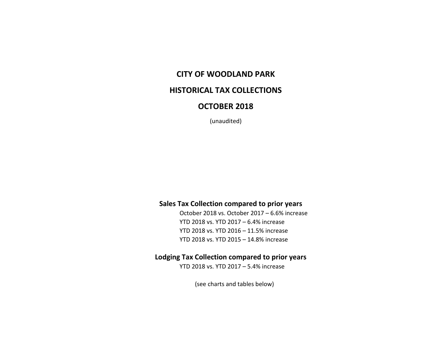## **CITY OF WOODLAND PARK**

## **HISTORICAL TAX COLLECTIONS**

## **OCTOBER 2018**

(unaudited)

#### **Sales Tax Collection compared to prior years**

October 2018 vs. October 2017 – 6.6% increase YTD 2018 vs. YTD 2017 – 6.4% increase YTD 2018 vs. YTD 2016 – 11.5% increase YTD 2018 vs. YTD 2015 – 14.8% increase

### **Lodging Tax Collection compared to prior years**

YTD 2018 vs. YTD 2017 – 5.4% increase

(see charts and tables below)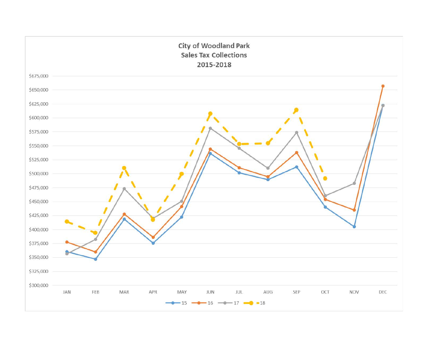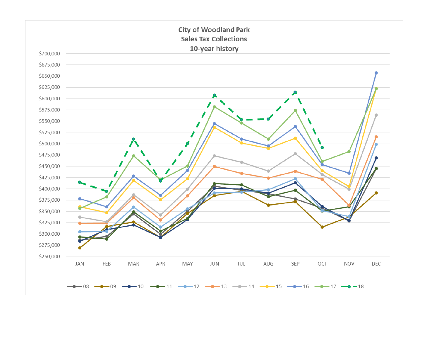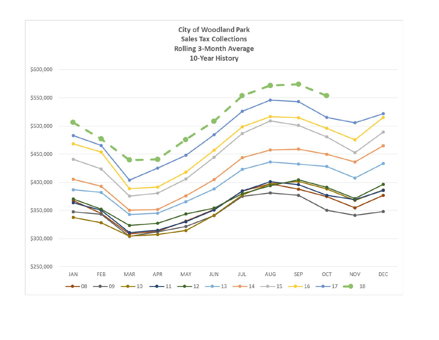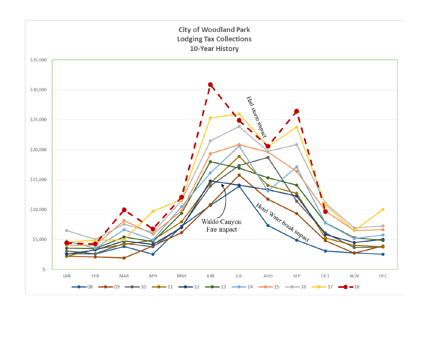